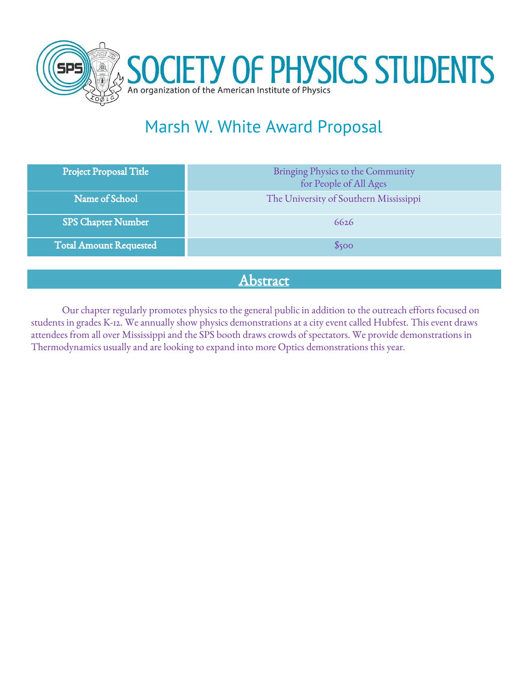

# Marsh W. White Award Proposal

| Project Proposal Title        | Bringing Physics to the Community<br>for People of All Ages |
|-------------------------------|-------------------------------------------------------------|
| Name of School                | The University of Southern Mississippi                      |
| SPS Chapter Number            | 6626                                                        |
| <b>Total Amount Requested</b> | \$500                                                       |

# Abstract

Our chapter regularly promotes physics to the general public in addition to the outreach efforts focused on students in grades K-12. We annually show physics demonstrations at a city event called Hubfest. This event draws attendees from all over Mississippi and the SPS booth draws crowds of spectators. We provide demonstrations in Thermodynamics usually and are looking to expand into more Optics demonstrations this year.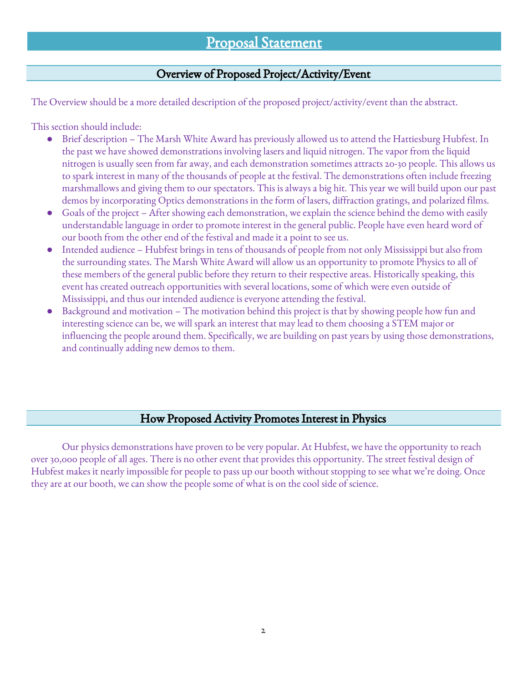# Proposal Statement

## Overview of Proposed Project/Activity/Event

The Overview should be a more detailed description of the proposed project/activity/event than the abstract.

This section should include:

- Brief description The Marsh White Award has previously allowed us to attend the Hattiesburg Hubfest. In the past we have showed demonstrations involving lasers and liquid nitrogen. The vapor from the liquid nitrogen is usually seen from far away, and each demonstration sometimes attracts 20-30 people. This allows us to spark interest in many of the thousands of people at the festival. The demonstrations often include freezing marshmallows and giving them to our spectators. This is always a big hit. This year we will build upon our past demos by incorporating Optics demonstrations in the form of lasers, diffraction gratings, and polarized films.
- Goals of the project After showing each demonstration, we explain the science behind the demo with easily understandable language in order to promote interest in the general public. People have even heard word of our booth from the other end of the festival and made it a point to see us.
- Intended audience Hubfest brings in tens of thousands of people from not only Mississippi but also from the surrounding states. The Marsh White Award will allow us an opportunity to promote Physics to all of these members of the general public before they return to their respective areas. Historically speaking, this event has created outreach opportunities with several locations, some of which were even outside of Mississippi, and thus our intended audience is everyone attending the festival.
- Background and motivation The motivation behind this project is that by showing people how fun and interesting science can be, we will spark an interest that may lead to them choosing a STEM major or influencing the people around them. Specifically, we are building on past years by using those demonstrations, and continually adding new demos to them.

### How Proposed Activity Promotes Interest in Physics

Our physics demonstrations have proven to be very popular. At Hubfest, we have the opportunity to reach over 30,000 people of all ages. There is no other event that provides this opportunity. The street festival design of Hubfest makes it nearly impossible for people to pass up our booth without stopping to see what we're doing. Once they are at our booth, we can show the people some of what is on the cool side of science.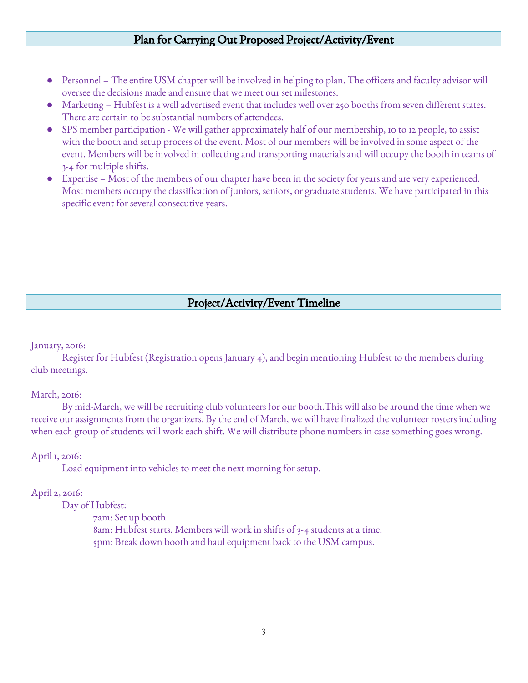## Plan for Carrying Out Proposed Project/Activity/Event

- Personnel The entire USM chapter will be involved in helping to plan. The officers and faculty advisor will oversee the decisions made and ensure that we meet our set milestones.
- Marketing Hubfest is a well advertised event that includes well over 250 booths from seven different states. There are certain to be substantial numbers of attendees.
- SPS member participation We will gather approximately half of our membership, 10 to 12 people, to assist with the booth and setup process of the event. Most of our members will be involved in some aspect of the event. Members will be involved in collecting and transporting materials and will occupy the booth in teams of 3-4 for multiple shifts.
- Expertise Most of the members of our chapter have been in the society for years and are very experienced. Most members occupy the classification of juniors, seniors, or graduate students. We have participated in this specific event for several consecutive years.

## Project/Activity/Event Timeline

January, 2016:

Register for Hubfest (Registration opens January 4), and begin mentioning Hubfest to the members during club meetings.

#### March, 2016:

By mid-March, we will be recruiting club volunteers for our booth.This will also be around the time when we receive our assignments from the organizers. By the end of March, we will have finalized the volunteer rosters including when each group of students will work each shift. We will distribute phone numbers in case something goes wrong.

#### April 1, 2016:

Load equipment into vehicles to meet the next morning for setup.

#### April 2, 2016:

Day of Hubfest:

7am: Set up booth 8am: Hubfest starts. Members will work in shifts of 3-4 students at a time. 5pm: Break down booth and haul equipment back to the USM campus.